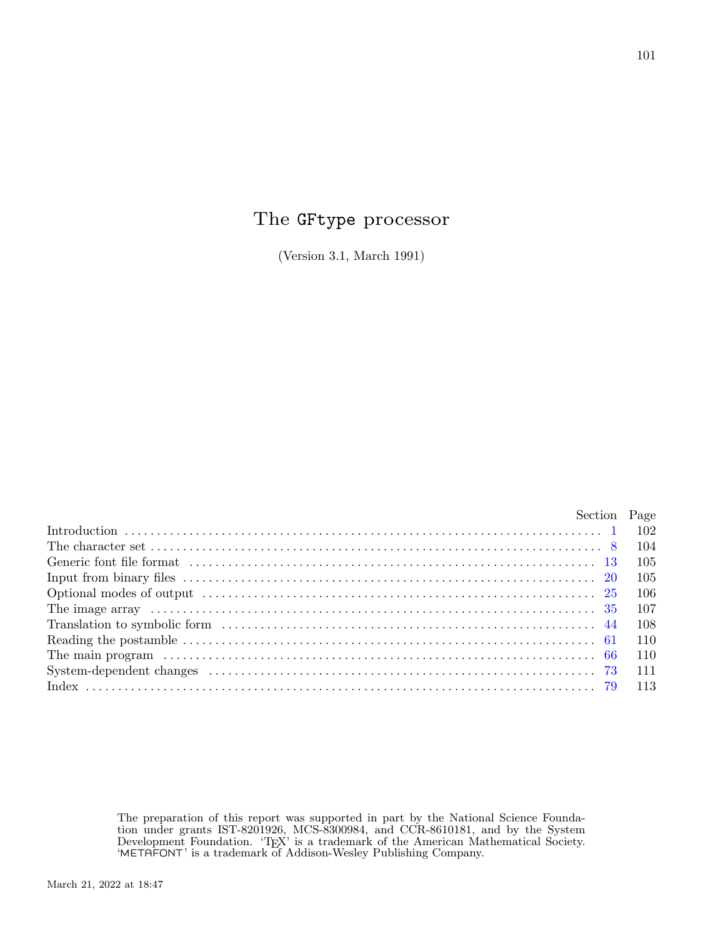## The GFtype processor

(Version 3.1, March 1991)

| Section Page |       |
|--------------|-------|
|              |       |
|              |       |
|              |       |
|              | - 105 |
|              | - 106 |
|              |       |
|              |       |
|              |       |
|              | 110   |
|              |       |
|              |       |
|              |       |

The preparation of this report was supported in part by the National Science Foundation under grants IST-8201926, MCS-8300984, and CCR-8610181, and by the System Development Foundation. 'TEX' is a trademark of the American Mathematical Society. 'METAFONT' is a trademark of Addison-Wesley Publishing Company.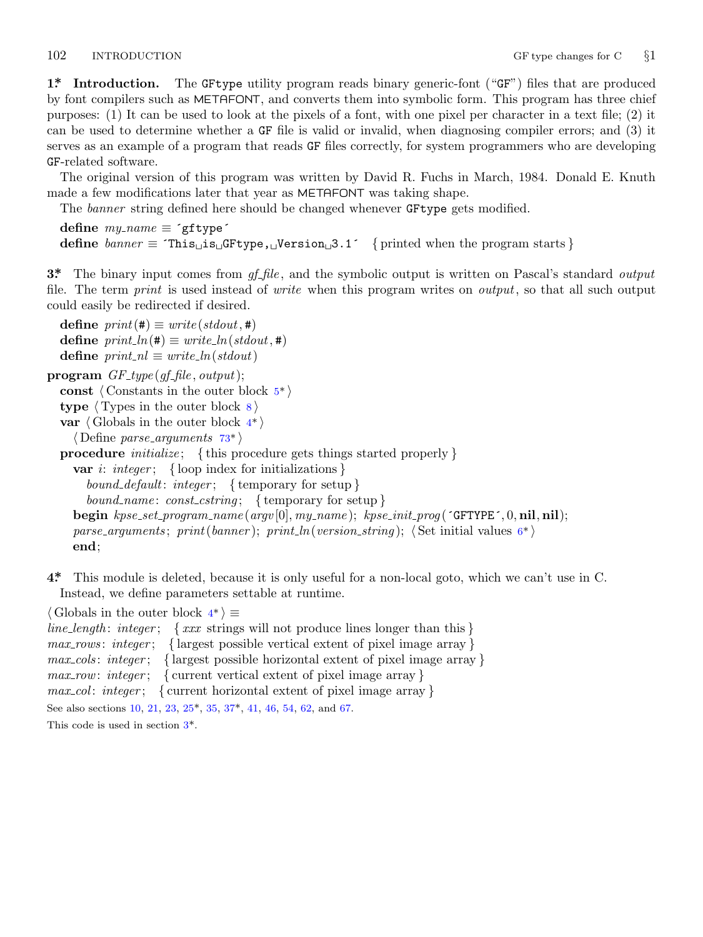<span id="page-1-0"></span>

**1\*. Introduction.** The GFtype utility program reads binary generic-font ("GF") files that are produced by font compilers such as METAFONT, and converts them into symbolic form. This program has three chief purposes: (1) It can be used to look at the pixels of a font, with one pixel per character in a text file; (2) it can be used to determine whether a GF file is valid or invalid, when diagnosing compiler errors; and (3) it serves as an example of a program that reads GF files correctly, for system programmers who are developing GF-related software.

The original version of this program was written by David R. Fuchs in March, 1984. Donald E. Knuth made a few modifications later that year as METAFONT was taking shape.

The *banner* string defined here should be changed whenever GFtype gets modified.

```
define my name ≡ ´gftype´
define \text{banner} \equiv \text{This} \text{is} \text{``GFType}, \text{``JVersion} \text{''} \text{''} \text{''} \text{''} \text{''} f printed when the program starts }
```
**3\*.** The binary input comes from *gf file* , and the symbolic output is written on Pascal's standard *output* file. The term *print* is used instead of *[w](#page-2-0)rite* when this program writes on *output*, so that all such output could easily be redirected if desired.

 $\text{define } print(\texttt{\#}) \equiv write (stdout, \texttt{\#})$  $\text{define } print\_ln(\texttt{\#}) \equiv write\_ln(\textit{stdout},\texttt{\#})$  $\text{define } print\_ln(\texttt{\#}) \equiv write\_ln(\textit{stdout},\texttt{\#})$  $\text{define } print\_ln(\texttt{\#}) \equiv write\_ln(\textit{stdout},\texttt{\#})$ **define**  $print\_nl \equiv write\_ln({\text{stdout}})$ 

**program** *GF type* (*gf file , output*);

**const** *⟨* Constants in the outer block 5\* *⟩*

**type** *⟨* Types in the outer block 8 *⟩*

```
var ⟨ Globals in the outer block 4* ⟩
```
*⟨* Define *parse arguments* 73\* *⟩*

**procedure** *initialize* ; *{* this procedure gets things started properly *}*

**var** *i*: *integer* ; *{* loop index for initializations *}*

*bound default*: *integer* ; *{* temporary for setup *} bound name* : *const cstring* ; *{* temporary for setup *}* **begin** *kpse set program name* (*argv* [0]*, my name* ); *kpse init prog* (´GFTYPE´*,* 0*,* **nil***,* **nil**); *parse arguments* ; *print*(*banner* ); *print ln*(*version string* ); *⟨* Set initial values 6\* *⟩* **end**;

**4\*.** This module is deleted, because it is only useful for a non-local goto, which we can't use in C. Instead, we define parameters settable at runtime.

*⟨* Globals in the outer bl[oc](#page-5-0)k 4\* *[⟩ ≡](#page-6-0) line length* : *integer* ; *{ xxx* strings will not produce lines longer than this *} max rows* : *integer* ; *{* largest possible vertical extent of pixel image array *} max cols* : *integer* ; *{* largest possible horizontal extent of pixel image array *} max row*: *integer* ; *{* current vertical extent of pixel image array *} max col* : *integer* ; *{* current horizontal extent of pixel image array *}* See also sections 10, 21, 23, 25\*, 35, 37\*, 41, 46, 54, 62, and 67.

This code is used in section 3\*.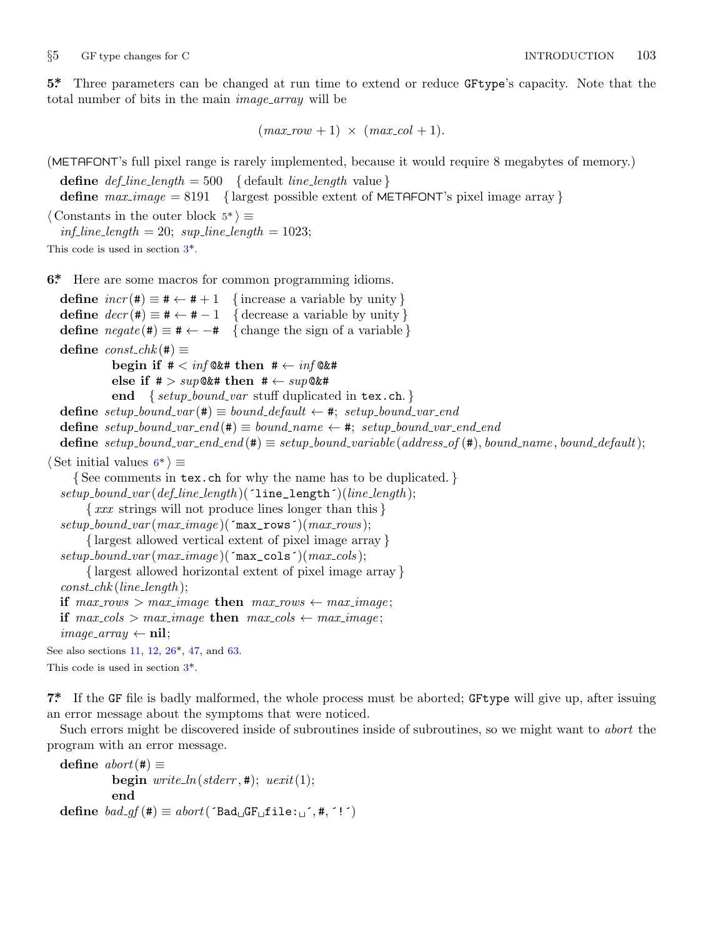<span id="page-2-0"></span>*§*5 GF type changes for C INTRODUCTION 103

**5\*.** Three parameters can be changed at run time to extend or reduce GFtype's capacity. Note that the total number of bits in the main *image array* will be

 $(max_{av} + 1) \times (max_{av} - col + 1)$ .

(METAFONT's full pixel [r](#page-1-0)ange is rarely implemented, because it would require 8 megabytes of memory.) **define**  $def\_line\_length = 500 \quad \{\text{default line\_length value}\}$ **define** *max image* = 8191 *{* largest possible extent of METAFONT's pixel image array *} ⟨* Constants in the outer block 5\* *⟩ ≡*  $inf\_line\_length = 20$ ;  $sup\_line\_length = 1023$ ; This code is used in section 3\*. **6\*.** Here are some macros for common programming idioms. **define**  $incr(\textbf{\#}) \equiv \textbf{\#} \leftarrow \textbf{\#} + 1$  {increase a variable by unity } **define**  $decr(\textbf{\#}) \equiv \textbf{\#} \leftarrow \textbf{\#} - 1$  {decrease a variable by unity} **define**  $\n \n negate(\mathbf{#}) \equiv \mathbf{#} \leftarrow -\mathbf{#}$  {change the sign of a variable }  $\text{define } const\_chk(\texttt{\#}) \equiv$ **begin if**  $# \langle \inf \mathbb{Q}_k^* \rangle$  **then**  $# \langle \inf \mathbb{Q}_k^* \rangle$ **else if** # *> sup*@&# **then** # *← sup*@&# **end** *{ setup bound var* stuff duplicated in tex.ch. *}*  $\text{define } setup\_bound\_var(\texttt{\#}) \equiv bound\_default \leftarrow \texttt{\#}; setup\_bound\_var\_end$  $\text{define } setup\_bound\_var\_end(\#) \equiv bound\_name \leftarrow *, \text{ setup\_bound\_var\_end\_end$ **define** setup\_bound\_var\_end\_end(#)  $\equiv$  setup\_bound\_variable(address\_of(#), bound\_name, bound\_default); *⟨* Set initial values 6\* *⟩ ≡ {* See comments in tex.ch for why the name has to be duplicated. *} setup bound var* (*def line length* )(´line\_length´)(*line length* ); *{ xxx* strings will not produce lines longer than this *}*  $setup\_bound\_var(max\_image)$ ( $\text{max\_rows}$ )( $max\_rows$ ); *{* largest allowed vertical extent of pixel image array *}*  $setup\_bound\_var(max\_image)$  $setup\_bound\_var(max\_image)$  $setup\_bound\_var(max\_image)$ ( $\text{max\_cols}$ )( $max\_cols$ ); *{* largest allowed [h](#page-1-0)orizontal extent of pixel image array *} const chk* (*line length* ); **if**  $max_{1}rows$  >  $max_{1}image$  **then**  $max_{1}rows$   $\leftarrow max_{1}image$ ; **if**  $max\_{cols} > max\_{image}$  **then**  $max\_{cols} \leftarrow max\_{image}$ ;  $image\_array \leftarrow$ **nil**; See also sections 11, 12, 26\*, 47, and 63. This code is used in section 3\*. **7\*.** If the GF file is badly malformed, the whole process must be aborted; GFtype will give up, after issuing

an error message about the symptoms that were noticed.

Such errors might be discovered inside of subroutines inside of subroutines, so we might want to *abort* the program with an error message.

 $\text{define } abort(\texttt{\#}) \equiv$ **begin**  $write\_ln(staterr, 1);$   $uexit(1);$ **end**  $\text{define } bad\_qf(\texttt{\#}) \equiv abort('Bad\_GF\_file:__', \texttt{\#}, '!')$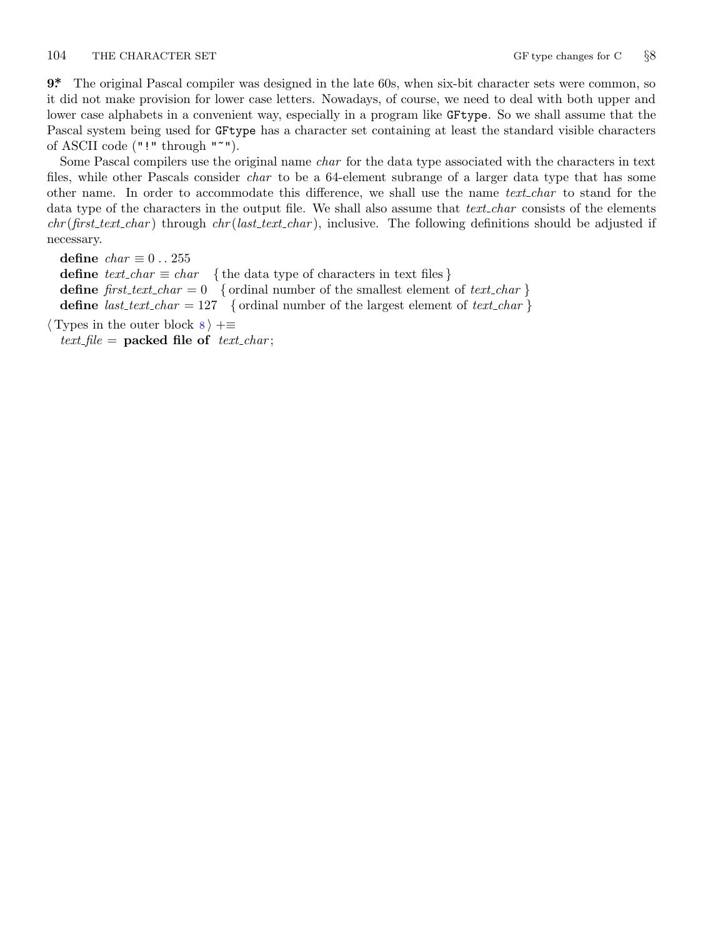<span id="page-3-0"></span>104 THE CHARACTER SET **GF** type changes for C  $\frac{88}{90}$ 

**9\*.** The original Pascal compiler was designed in the late 60s, when six-bit character sets were common, so it did not make provision for lower case letters. Nowadays, of course, we need to deal with both upper and lower case alphabets in a convenient way, especially in a program like GFtype. So we shall assume that the Pascal system being used for GFtype has a character set containing at least the standard visible characters of ASCII code ("!" through "~").

Some Pascal compilers use the original name *char* for the data type associated with the characters in text files, while other Pascals consider *char* to be a 64-element subrange of a larger data type that has some other name. In order to accommodate this difference, we shall use the name *text char* to stand for the data type of the characters in the output file. We shall also assume that *text char* consists of the elements *chr* (*first text char* ) through *chr* (*last text char* ), inclusive. The following definitions should be adjusted if necessary.

**define**  $char \equiv 0 \ldots 255$ **define**  $text\_text\_char \leq char$  { the data type of characters in text files } **define**  $first\_text\_char = 0$  { ordinal number of the smallest element of  $text\_char}$ } **define**  $last\_text\_char = 127$  {ordinal number of the largest element of  $text\_char}$ }

*⟨* Types in the outer block 8 *⟩* +*≡*  $text$ *file* = **packed file of**  $text$ *text\_char*;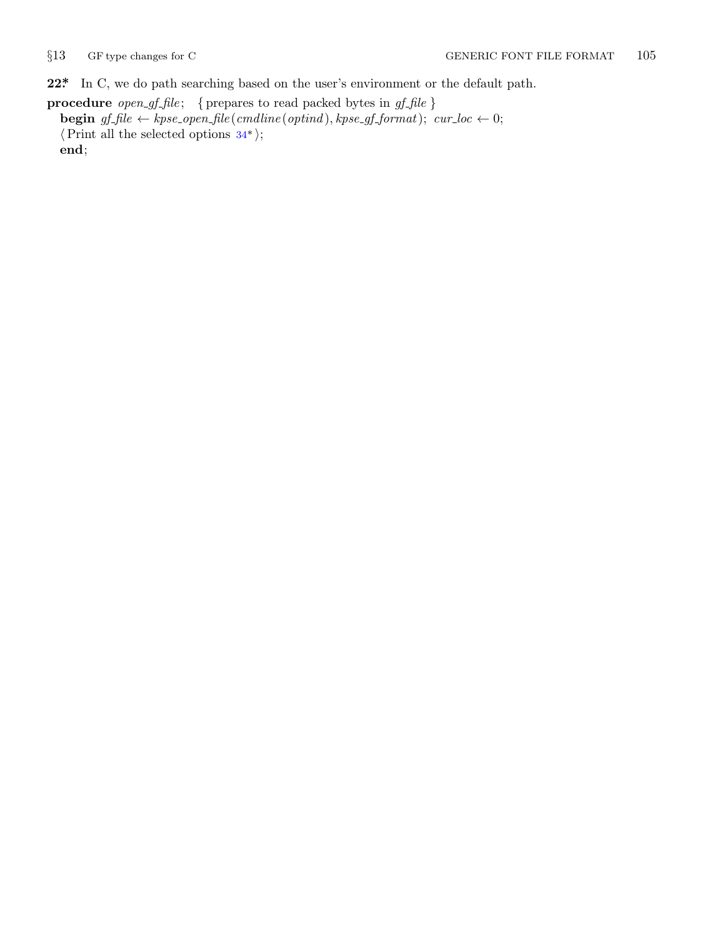<span id="page-4-0"></span>

**22\*.** In C, we do path searching based on the user's environment or the default path.

**procedure** *open gf file* ; *{* prepares to read packed bytes in *gf file }* **begin**  $gf$   $fhle$   $\leftarrow$   $kpse\text{-}open\ \text{-}file \text{ } (cmdline (optind), kpse\text{-}gf\text{-}format);$   $cur\_loc \leftarrow 0;$ *⟨*Print all the selected options 34\* *⟩*; **end**;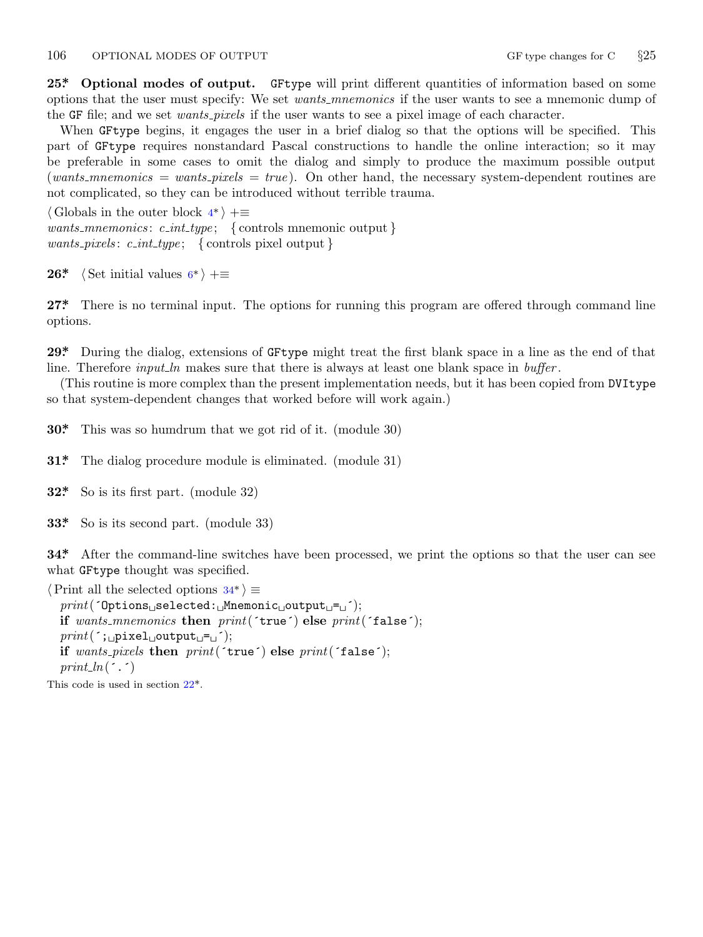## <span id="page-5-0"></span>106 OPTIONAL MODES OF OUTPUT GF type changes for C  $\S 25$

**25\*. Optional modes of output.** GFtype will print different quantities of information based on some options that the user must specify: We set *wants mnemonics* if the user wants to see a mnemonic dump of the GF file; and we set *wants pixels* if the user wants to see a pixel image of each character.

When GFtype begins, it [en](#page-1-0)gages the user in a brief dialog so that the options will be specified. This part of GFtype requires nonstandard Pascal constructions to handle the online interaction; so it may be preferable in some cases to omit the dialog and simply to produce the maximum possible output (*wants mnemonics* = *w[an](#page-2-0)ts pixels* = *true* ). On other hand, the necessary system-dependent routines are not complicated, so they can be introduced without terrible trauma.

*⟨* Globals in the outer block 4\* *⟩* +*≡ wants mnemonics* : *c int type* ; *{* controls mnemonic output *} wants pixels* : *c int type* ; *{* controls pixel output *}*

**26\***  $\langle$  Set initial values  $6^*$   $\rangle$  +=

**27\*.** There is no terminal input. The options for running this program are offered through command line options.

**29\*.** During the dialog, extensions of GFtype might treat the first blank space in a line as the end of that line. Therefore *input ln* makes sure that there is always at least one blank space in *buffer*.

(This routine is more complex than the present implementation needs, but it has been copied from DVItype so that system-dependent changes that worked before will work again.)

**30\*.** This was so humdrum that we got rid of it. (module 30)

**31\*.** The dialog procedure module is eliminated. (module 31)

**32\*.** So is its first part. (module 32)

**33\*.** So is its second part. (module 33)

**34\*.** After the command-line switches have been processed, we print the options so that the user can see what GFtype thought was specified.

*⟨*Print all the selected o[pt](#page-4-0)ions 34\* *⟩ ≡*

*print*(´Options␣selected:␣Mnemonic␣output␣=␣´); **if** *wants mnemonics* **then** *print*(´true´) **else** *print*(´false´); *print*(´;␣pixel␣output␣=␣´); **if** *wants pixels* **then** *print*(´true´) **else** *print*(´false´); *print ln*(´.´)

This code is used in section 22\*.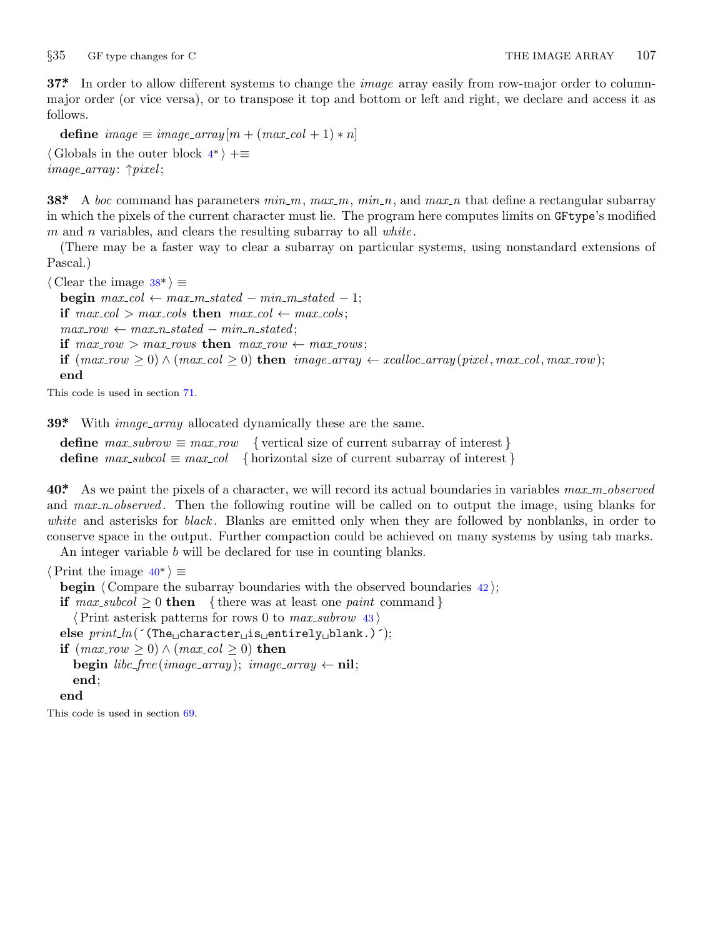<span id="page-6-0"></span>*§*35 GF type changes for C THE IMAGE ARRAY 107

**37\*.** In order to allow different systems to change the *image* array easily from row-major order to columnmajor order (or vice versa), or to transpose it top and bottom or left and right, we declare and access it as follows.

 $\text{define } image \equiv image\_array[m + (max_{c}col + 1) * n]$ 

*⟨* Globals in the outer block 4\* *⟩* +*≡ image array* : *↑pixel* ;

**38\*.** A *boc* command has parameters *min m*, *max m*, *min n*, and *max n* that define a rectangular subarray in which the pixels of the current character must lie. The program here computes limits on GFtype's modified *m* and *n* variables, and clears the resulting subarray to all *white* .

(There may be a faster way to clear a subarray on particular systems, using nonstandard extensions of Pascal.)

*⟨* Clear the image 38\* *⟩ ≡* **begin**  $max\_{col} \leftarrow max\_max\_stated - min\_m\_stated - 1;$ **if**  $max\_{col} > max\_{cols}$  **then**  $max\_{col} \leftarrow max\_{cols}$ ;  $max_{i} row \leftarrow max_{i} - state_{i} - min_{i} - state_{i}$ **if**  $max_{1} row > max_{1} rows$  **then**  $max_{1} row \leftarrow max_{1} rows;$ if  $(max_{1}row > 0) \wedge (max_{1}col > 0)$  then  $image_{1}array \leftarrow xcaloc_{1}array(pixel, max_{1}max_{1}row);$ **end**

This code is used in section 71.

**39\*** With *image\_array* allocated dynamically these are the same.

**define**  $max\_subrow \equiv max\_row$  { vertical size of current subarray of interest } **define**  $max\_subcol \equiv max\_col \{ \text{horizontal size of current subarray of interest \} }$ 

**40\*.** As we paint the pixels of a character, we will record its actual boundaries in variables *max m observed* and *max\_n\_observed*. Then the following routine will be called on to output the image, using blanks for *white* and asterisks for *black* . Blanks are emitted only when they are followed by nonblanks, in order to conserve space in the output. Further compaction could be achieved on many systems by using tab marks. An integer variable *b* will be declared for use in counting blanks.

*⟨*Print the image 40\* *⟩ ≡*

**begin**  $\langle$  Compare the subarray boundaries with the observed boundaries 42  $\rangle$ ; **if**  $max\_subcol > 0$  **then** { there was at least one *paint* command } *⟨*Print asterisk patterns for rows 0 to *max subrow* 43 *⟩* **else** *print\_ln*(´(The<sub></sub>∟character<sub>∟</sub>is<sub>∟</sub>entirely<sub>∟</sub>blank.)´); **if**  $(max_{1}row>0) ∧ (max_{1}col>0)$  **then begin**  $libc-free(image\_array); image\_array \leftarrow$ **nil**; **end**; **end**

This code is used in section 69.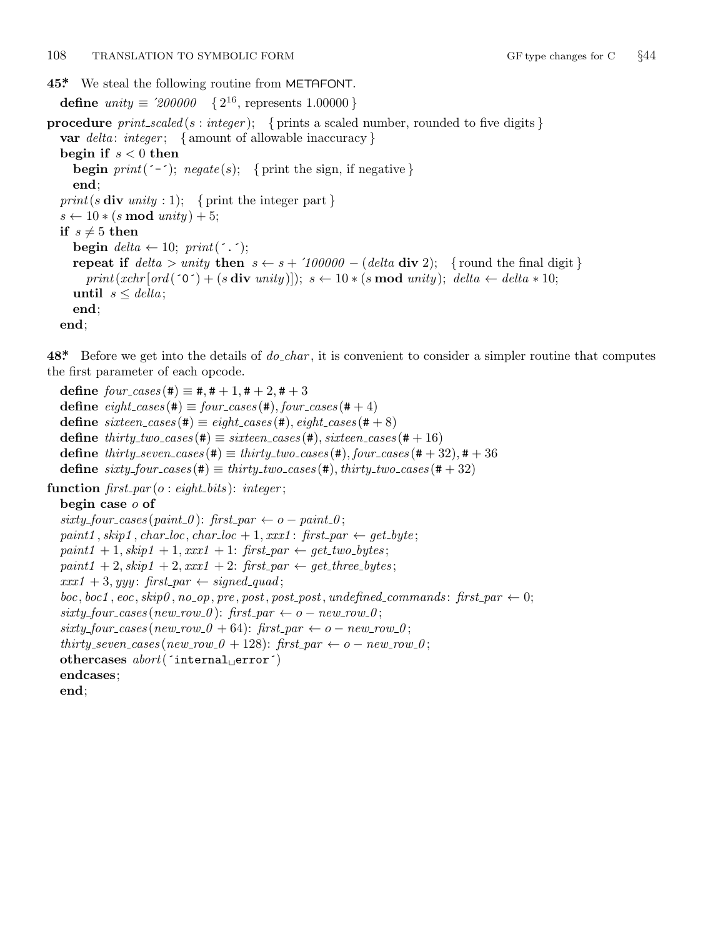<span id="page-7-0"></span>**45\*.** We steal the following routine from METAFONT.

**define**  $unity \equiv \langle 200000 \rangle \{2^{16}, \text{ represents } 1.00000\}$ 

**procedure** *print scaled* (*s* : *integer* ); *{* prints a scaled number, rounded to five digits *}* **var** *delta* : *integer* ; *{* amount of allowable inaccuracy *}* **begin if** *s <* 0 **then begin**  $print('-')$ ;  $negative(s)$ ; {print the sign, if negative } **end**;  $print(s \textbf{div} unity : 1);$  { print the integer part }  $s \leftarrow 10 * (s \mod unity) + 5;$ **if**  $s \neq 5$  **then begin**  $delta \leftarrow 10$ ;  $print(\cdot \cdot \cdot)$ ; **repeat if**  $delta >$  *unity* **then**  $s \leftarrow s + 100000 - (delta \text{ div } 2);$  {round the final digit}  $print(xchr[ord' (0^*) + (s \textbf{div } unity)]);$   $s \leftarrow 10 * (s \textbf{mod } unity);$   $delta \leftarrow delta \leftarrow delta * 10;$ **until**  $s \leq delta$ ; **end**; **end**;

**48\*.** Before we get into the details of *do char* , it is convenient to consider a simpler routine that computes the first parameter of each opcode.

 $\text{define} \, \text{four}\, \text{cases} (\#) \equiv \#, \# + 1, \# + 2, \# + 3$  $\text{define } eight\_cases (\#) \equiv four\_cases (\#), four\_cases (\# + 4)$  $\text{define } sixteen\_cases \text{ } (\#) \equiv eight\_cases \text{ } (\#), eight\_cases \text{ } (\# + 8)$  $\text{define } thirty\_two\_cases (\#) \equiv sixteen\_cases (\#), sixteen\_cases (\# + 16)$ **define**  $thirty\_seven\_cases$  (#)  $\equiv thirty\_two\_cases$  (#),  $four\_cases$  (# + 32), # + 36  $\text{define } sixty\_four\_cases(\texttt{\#}) \equiv thirty\_two\_cases(\texttt{\#}), thirty\_two\_cases(\texttt{\#}+32)$ **function** *first par* (*o* : *eight bits* ): *integer* ; **begin case** *o* **of**  $sixty\_four\_cases$  ( $paint_0$ ):  $first_par \leftarrow o - paint_0$ ;  $paint1, skip1, char\_loc, char\_loc + 1, xxx1$ :  $first\_par \leftarrow get\_byte;$  $paint1 + 1, skip1 + 1, xxx1 + 1: first\_par \leftarrow get\_two\_bytes;$  $paint1 + 2, skip1 + 2, xxx1 + 2: first\_par \leftarrow get\_three\_bytes;$  $xxx1 + 3$ *, yyy* : *first\_par*  $\leftarrow$  *signed\_quad*;  $boc, boc1, eoc, skip0, no-op, pre, post, post, post, undefined_{commands: first-par} \leftarrow 0;$  $sixty_four\_cases(new_rrow_0):$   $first_par \leftarrow o - new_rrow_0;$  $sixty_four\_cases(new_rrow_0 + 64)$ :  $first_par \leftarrow o - new_rrow_0$ ; *thirty\_seven\_cases*( $new_{av} = 0 + 128$ ):  $first_{av} \leftarrow 0 - new_{av} = 0$ ; **othercases** *abort*(´internal␣error´) **endcases**; **end**;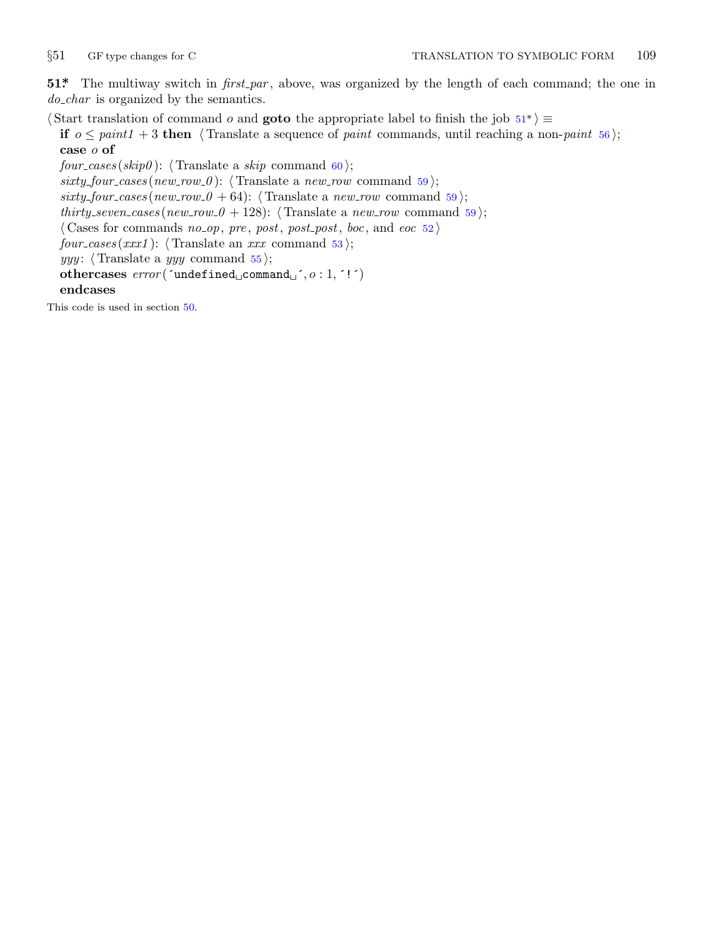<span id="page-8-0"></span>

**51\*.** The multiway switch in *first par* , above, was organized by the length of each command; the one in *do char* is organized by the semantics.

*⟨* Start translation of command *o* and **goto** the appropriate label to finish the job 51\* *⟩ ≡*

**if**  $o \leq paint1 + 3$  **then**  $\langle$  Translate a sequence of *paint* commands, until reaching a non-*paint* 56 $\rangle$ ; **case** *o* **of**

*four\_cases* ( $skip$ ):  $\langle$  Translate a  $skip$  command 60 $\rangle$ ;  $sixty\_four\_cases(new\_row_0): \langle$  Translate a  $new\_row$  command 59 $\rangle$ ;  $sixty\_four\_cases(new\_row_0 + 64)$ :  $\langle$  Translate a *new\_row* command 59 $\rangle$ ; *thirty\_seven\_cases* ( $new_{\text{row}} \text{0} + 128$ ):  $\langle$  Translate a  $new_{\text{row}}$  command 59); *⟨* Cases for commands *no op*, *pre* , *post*, *post post*, *boc*, and *eoc* 52 *⟩*  $four\_cases(xxx1):$   $\langle$  Translate an *xxx* command 53 $\rangle$ ; *yyy* : *⟨* Translate a *yyy* command 55 *⟩*; **othercases** *error* (´undefined␣command␣´*, o* : 1*,* ´!´) **endcases**

This code is used in section 50.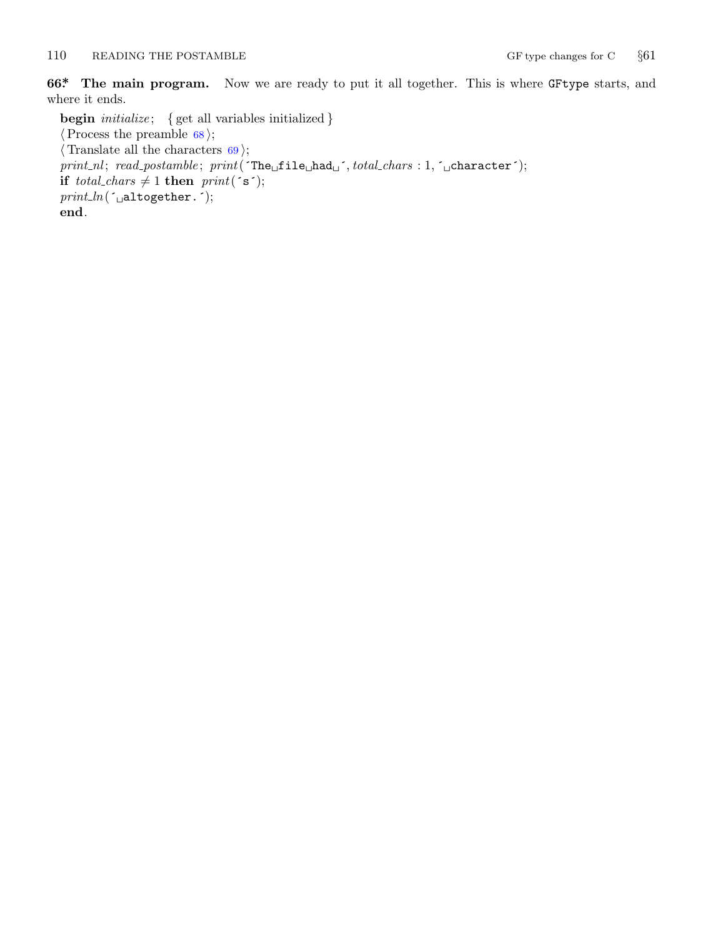## <span id="page-9-0"></span>110 READING THE POSTAMBLE GF type changes for C  $\S61$

**66\*. The main program.** Now we are ready to put it all together. This is where GFtype starts, and where it ends.

**begin** *initialize* ; *{* get all variables initialized *} ⟨*Process the preamble 68 *⟩*; *⟨* Translate all the characters 69 *⟩*; *print nl* ; *read postamble* ; *print*(´The␣file␣had␣´*, total chars* : 1*,* ´␣character´); **if** *total\_chars*  $\neq$  1 **then** *print*( $\in$ s $\in$ ); *print ln*(´␣altogether.´); **end**.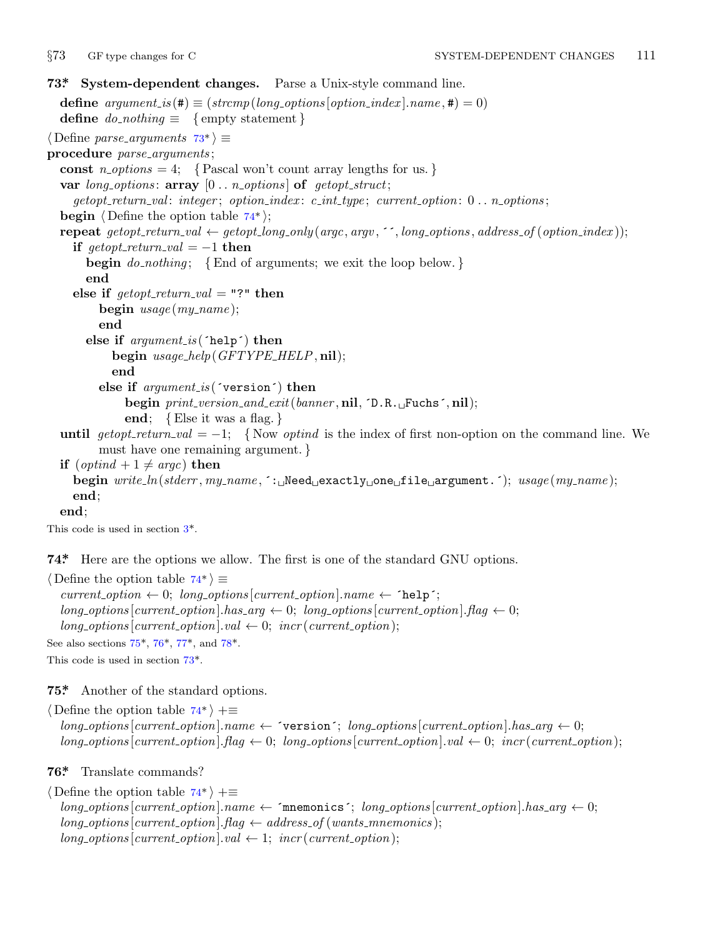<span id="page-10-0"></span>

**73\*. System-dependent changes.** Parse a Unix-style command line. **define**  $argument_is(\textbf{\#}) \equiv (stromp(long-options[option_index].name, \textbf{\#}) = 0)$ **define**  $do\_nothing \equiv \{$  empty statement  $\}$ *⟨* Define *parse arguments* 73\* *⟩ ≡* **procedure** *parse arguments* ; const  $n\text{-}options = 4$ ;  $\{ Pascal won't count array lengths for us.\}$ **var** *long options* : **array** [0 *. . n options* ] **of** *getopt struct*; *getopt return val* : *integer* ; *option index* : *c int type* ; *current option*: 0 *. . n options* ; **begin** *⟨* Define the option table 74\* *⟩*; **repeat**  $qetopt_rreturn_val \leftarrow qetopt_llong-only(argc, argv, \text{``}, long-options, address_of(option_index));$ **if**  $qetopt\_return\_val = -1$  **then begin** *do nothing* ; *{*End of arguments; we exit the loop below. *}* **end else if**  $\text{getopt}\_\text{return}\_\text{val} = "?"$  **then begin** *usage* (*my name* ); **end else if** *argument is* (´help´) **then begin** *usage help*(*GFTYPE HELP,* **nil**); **end else if** *argument is* (´version´) **then begin** *print version and exit*(*banner ,* **nil***,* ´D.R.␣Fuchs´*,* **nil**); **end**; *{*Else it was a flag. *}* **until**  $getopt\_return\_val = -1$  $getopt\_return\_val = -1$  $getopt\_return\_val = -1$ ; {Now *optind* is the index of first non-option on the command line. We must have one remaining argument. *}* **if**  $(\text{optind} + 1 \neq \text{argc})$  **then begin** *write ln*(*stderr , my name ,* ´:␣Need␣exactly␣one␣file␣argument.´); *usage* (*my name* ); **end**; **end**;

This code is used in section 3\*.

**74\*.** Here are the opt[ion](#page-11-0)s we [all](#page-11-0)ow. The first is one of the standard GNU options.

*⟨* Define the option table 74\* *⟩ ≡*  $current\_option \leftarrow 0; long\_options[current\_option].name \leftarrow 'help';$ 

 $\log \left[ \text{current\_option} \right]$ *has*  $\text{arg } \leftarrow 0$ ;  $\log \left[ \text{current\_option} \right]$ *flag*  $\leftarrow 0$ ;  $long\_options[current\_option].val \leftarrow 0; incr(current\_option);$ See also sections 75\*, 76\*, 77\*, and 78\*.

This code is used in section 73\*.

**75\*.** Another of the standard options.

*⟨* Define the option table 74\* *⟩* +*≡*  $long-options[current\_option].name \leftarrow 'version'; long\_options[current\_option].has\_arg \leftarrow 0;$  $long\_options$  [ $current\_option$ ]*.* $flag \leftarrow 0$ ;  $long\_options$  [ $current\_option$ ]*.val*  $\leftarrow 0$ ;  $incr$  ( $current\_option$ );

**76\*.** Translate commands?

*⟨* Define the option table 74\* *⟩* +*≡*  $long-options[current\_option].name \leftarrow$   $\leftarrow$   $\leftarrow$   $\leftarrow$   $\leftarrow$   $\leftarrow$   $\leftarrow$   $\leftarrow$   $\leftarrow$   $\leftarrow$   $\leftarrow$   $\leftarrow$   $\leftarrow$   $\leftarrow$   $\leftarrow$   $\leftarrow$   $\leftarrow$   $\leftarrow$   $\leftarrow$   $\leftarrow$   $\leftarrow$   $\leftarrow$   $\leftarrow$   $\leftarrow$   $\leftarrow$   $\leftarrow$   $\leftarrow$   $\leftarrow$   $\leftarrow$   $\leftarrow$   $\leftarrow$   $\leftarrow$   $\leftarrow$   $\leftarrow$   $\leftarrow$   $\$  $long\_options[current\_option]$ *.flag*  $\leftarrow$  *address\_of* (*wants\_mnemonics*);  $long\_options[current\_option].val \leftarrow 1; incr(current\_option);$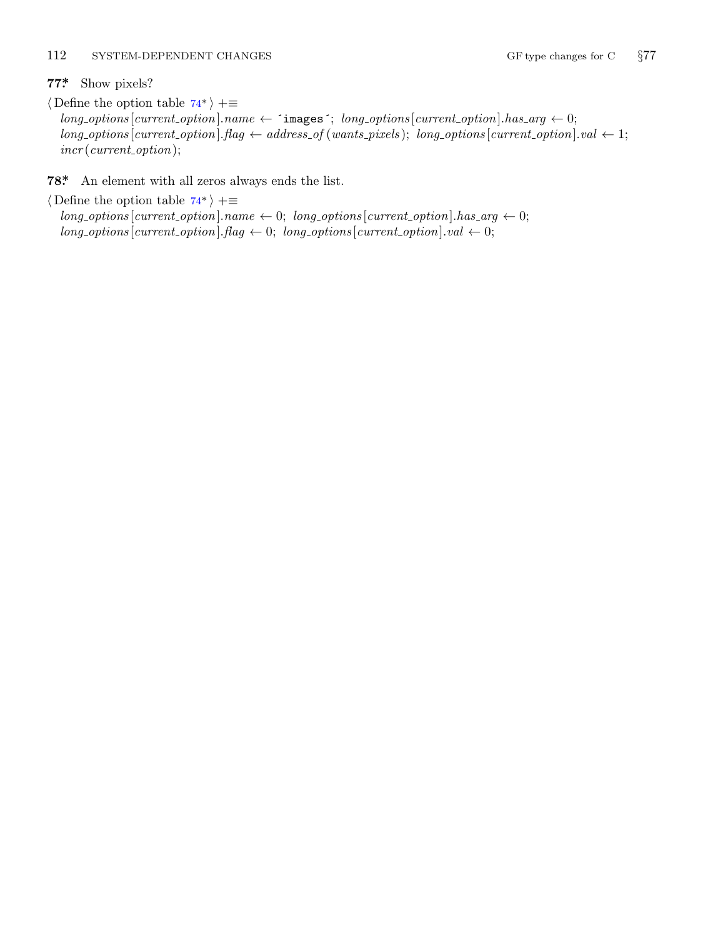## <span id="page-11-0"></span>112 SYSTEM-DEPENDENT CHANGES GF type changes for C  $\S 77$

**77\*.** Show pixels?

*⟨* Define the option table [74\\*](#page-10-0) *⟩* +*≡*  $long\_options[current\_option].name \leftarrow \text{images'}; long\_options[current\_option].has\_arg \leftarrow 0;$  $long\_options[current\_option].flag \leftarrow address\_of(wants\_pixels); long\_options[current\_option].val \leftarrow 1;$ *incr* (*current option*);

**78\*.** An element with all zeros always ends the list.

*⟨* Define the option table 74\* *⟩* +*≡*  $long\_options[current\_option].name \leftarrow 0; long\_options[current\_option].has\_arg \leftarrow 0;$  $long\_options$  [*current\_option*]*.flag*  $\leftarrow 0$ ; *long\_options* [*current\_option*]*.val*  $\leftarrow 0$ ;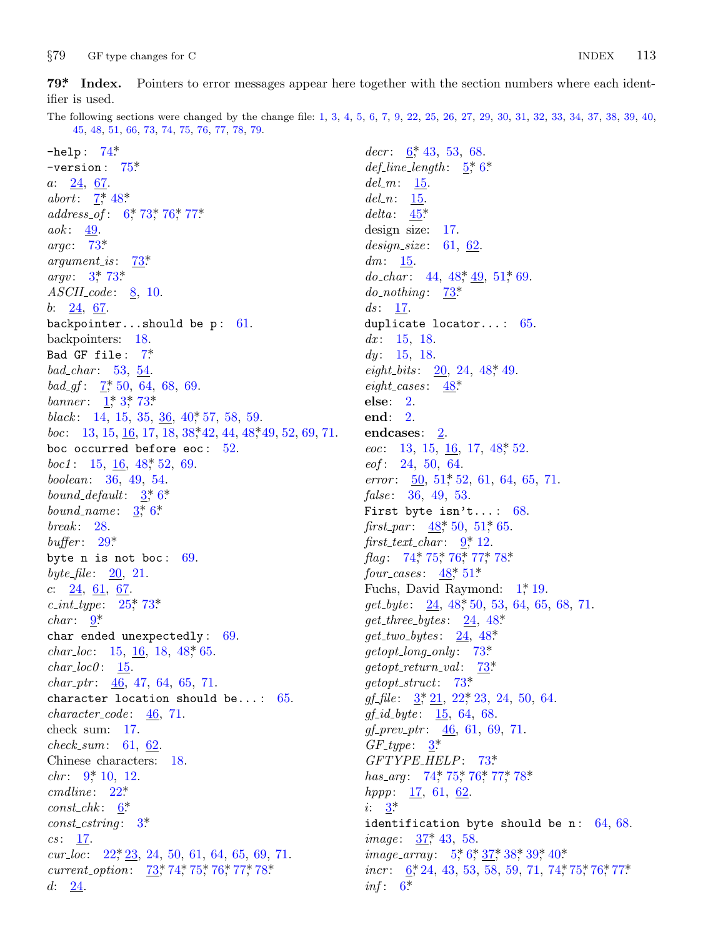<span id="page-12-0"></span>*§*79 G[F ty](#page-10-0)pe changes for C INDEX 113

ifier is u[se](#page-2-0)[d.](#page-7-0)

The following s[ec](#page-2-0)ti[ons](#page-10-0) [were](#page-10-0) [cha](#page-11-0)nged by the change file: 1, 3, 4, 5, 6, 7, 9, [22,](#page-7-0) 25, 26, 27, 29, 30, 31, 32, 33, 34, 37, 38, 39, 40, 45, 48, 51, 66, 73, 74, 75, 76, 77, 78, 79.

−help : [7](#page-10-0)4\*. −version : 7[5\\*.](#page-10-0) *a*: 24, [6](#page-1-0)[7.](#page-10-0) *abort*:  $\frac{7}{7}$ , 48\* *address of* : 6\*, 73\*, 76\*, 77\*. *aok* : 49. *argc*: 73\*. *argument is* : 7[3\\*.](#page-2-0) *argv*:  $3^{*}$  73<sup>\*</sup> *ASCII co[de](#page-2-0)* : 8, 10. *b*: 24, 6[7.](#page-1-0) backpointer...shoul[d b](#page-6-0)e  $p: 61$ . backpointers: 18. Bad GF file : 7\*. *bad char* : 53, [54](#page-7-0). *bad\_gf* :  $\frac{7}{50}$ , 64, 68, 69. *banner*: 1,\* 3,\* [73](#page-1-0).\* *black*: 14, 15, [3](#page-1-0)[5,](#page-2-0) 36, 40<sup>\*</sup>, 57, 58, 59. *boc*: 13, 15, 16, 17, 18, 38, 42, 44, 48, 49, 52, 69, 71. boc occ[urr](#page-5-0)ed before eoc: 52. *boc1* : 15, <u>16</u>, 48, 52, 69. *boolean*: 36, 49, 54. *bound default*: 3\*, 6\*. *bound\_name*[:](#page-5-0)  $3, 6$  $3, 6$ \* *break* : [2](#page-3-0)8. *buffer* : 29\*. byte n is not boc: [69](#page-7-0). *byte file* : 20, 21. *c*: 24, 61, 67. *c int type* : 25\*, 73\*. *char* : 9\*. char ended unexpectedly : 69. *char loc*: 15, 16, 18, 48\*, 65.  $char\_loc0: 15.$ *char p[tr](#page-3-0)* : 46, 47, 64, 65, 71. character [lo](#page-4-0)cation should be...:  $65$ . *character co[de](#page-2-0)* : 46, 71. check sum: 17[.](#page-1-0) *check sum*: 61, 62. Chinese c[har](#page-4-0)acters: 18. *chr*: 9, 10, 12. *cmdline* : 22\*.  $const\_chk:$  6<sup>\*</sup> *const cstring* : 3\*.  $cs: \quad \underline{17}.$ *cur loc*: 22\*, 23, 24, 50, 61, 64, 65, 69, 71. *current\_option*:  $\frac{73}{74}$ , 74<sup>\*</sup>, 75<sup>\*</sup>, 76<sup>\*</sup>, 77<sup>\*</sup>, 78<sup>\*</sup> *d*: 24.

decr: 6,\* 43, 53, 68. *def line length* : 5\*, 6\*. *del m*: 15. *del n*: 15. *delta* : 45\*. design size: 17. *design size* : 61, 62.  $dm: \frac{15}{2}$ . *do\_char* : 44, 48, 4[9,](#page-7-0) 51, 69. *do\_nothing* : [73](#page-7-0)\* *ds*: <u>17</u>. duplicate locator...: 65. *dx* : 15, 18. *dy* : 15, 18. *eight\_bits*: 20, 24, 48, 49. *eight cases* : [4](#page-8-0)8\*. **else**: 2. **end**: 2. endcases: [2](#page-7-0). *eoc*: 13[,](#page-3-0) 15, <u>16</u>, 17, 48, 52. *eof* : [24,](#page-10-0) [50,](#page-10-0) [64.](#page-10-0) *error* : 50, 51, [52,](#page-8-0) 61, 64, 65, 71. *false* : 36, 49, 53. First byte i[sn'](#page-7-0)t...:  $68$ . *first\_par* :  $48$ <sup>\*</sup>, 50, 51<sup>\*</sup>, 65.  $first\_text\_char: 9, 12.$  $first\_text\_char: 9, 12.$ *flag*: 74, 75, 76, 77, 78\* *four cases* : 48\*, 51[\\*.](#page-10-0) Fuchs, David [Ray](#page-10-0)mond:  $1^*$  19. *get byte* : 24, [48\\*,](#page-4-0) 50, 53, 64, 65, 68, 71. *get three bytes* : 24, 48\*. *get two bytes* : 24, 48\*. *getopt long [o](#page-1-0)nly* : 73\*. *getopt return val* : [73\\*.](#page-10-0) *getopt str[uct](#page-10-0)*: [7](#page-10-0)3[\\*.](#page-10-0) *gf\_file* :  $3, 21, 22, 23, 24, 50, 64$ . *gf i[d](#page-1-0) byte* : 15, 64, 68. *gf prev ptr* : 46, 61, 69, 71.  $GF\_type: \quad \underline{3^*}$  $GF\_type: \quad \underline{3^*}$  $GF\_type: \quad \underline{3^*}$ *GFTYPE HE[LP](#page-2-0)*: [73\\*.](#page-6-0) *has\_arg* [:](#page-2-0) 74\*, 75\*, 76\*, 77\*, 78\*. *hppp*: <u>17</u>, 61, 62. *i*:  $3^*$ identification byte should be n:  $64, 68$ . *image*: 37,\* 43, 58. *image\_array* : 5,\* 6,\* 37,\* 38,\* 39,\* 40.\* *incr* : 6, 24, 43, 53, 58, 59, 71, 74, 75, 76, 77\*  $inf: 6^*$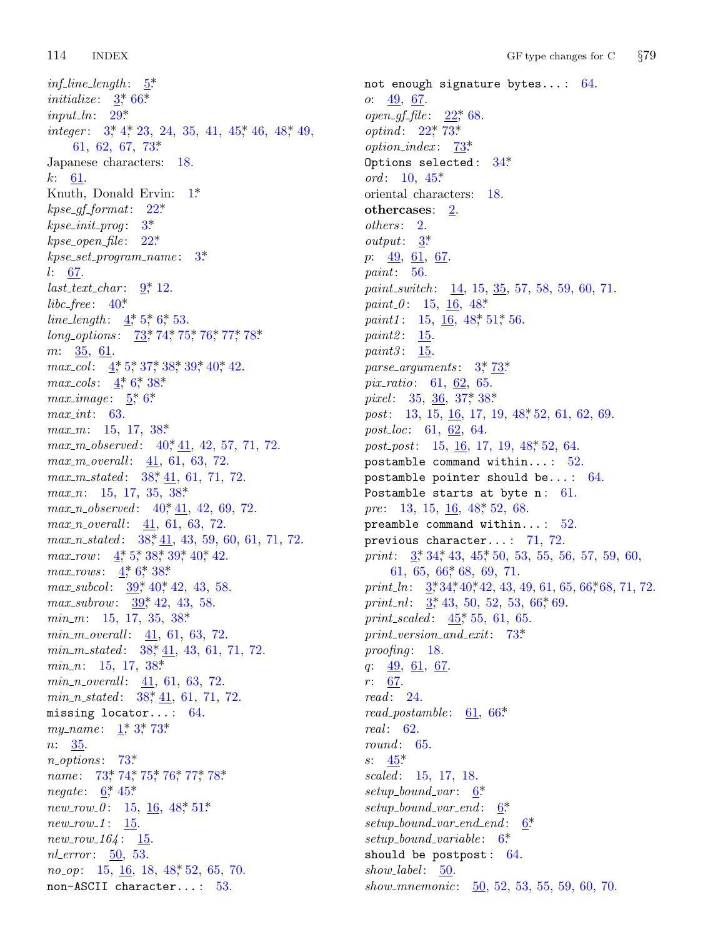$inf$ *line length* :  $5^*$ *initialize* :  $\frac{3}{2}$  66\* *input ln*: 29\*. *integer* :  $3, 4, 23, 24, 35, 41, 45, 46, 48, 49,$  $3, 4, 23, 24, 35, 41, 45, 46, 48, 49,$  $3, 4, 23, 24, 35, 41, 45, 46, 48, 49,$ 61, 62, 67, [73](#page-4-0)\*. Japanese characters: 18. *k*: 61. Knuth, Donald [E](#page-3-0)rvin:  $1^*$ *kpse gf for[ma](#page-6-0)t*: 22\*. *kpse init prog* [:](#page-1-0) [3](#page-2-0)\*. *kpse open file* : [2](#page-10-0)2[\\*.](#page-10-0) *kpse set program name* : 3\*. *l*: 67. *last text ch[ar](#page-1-0)* [:](#page-2-0) [9\\*,](#page-6-0) [12.](#page-6-0) *libc free* : 40[\\*](#page-2-0). *line\_length* :  $4, 5, 6, 53$ . *long\_options* : 73\*, [74](#page-6-0)\*, 75\*, 76\*, 77\*, 78\*. *m*: 35, 61. *max\_col*:  $4, 5, 37, 38, 39, 40, 42.$ *max\_cols* :  $4, 6, 38$  $4, 6, 38$ \* *max\_image*:  $5^*$ ,  $6^*$ *max int*: 63. *max m*: 15, 17, 38\*. *max\_m\_observed*[:](#page-6-0)  $40, 41, 42, 57, 71, 72$ . *max m ove[ra](#page-1-0)ll* [:](#page-2-0) [41](#page-6-0), [61](#page-6-0), [63](#page-6-0), 72. *max m state[d](#page-1-0)* : [3](#page-2-0)[8\\*,](#page-6-0) 41, 61, 71, 72. *max n*: 15, [17,](#page-6-0) [35,](#page-6-0) 38\*. *max\_n\_observed*[:](#page-6-0) 40, 41, 42, 69, 72. *max n overall* : 41, [61,](#page-6-0) 63, 72. *max\_n\_stated* : 38,\*41, 43, 59, 60, 61, 71, 72. *max\_row*: 4, 4, 5, [38](#page-6-0), 39, 40, 42. *max\_rows* :  $4, 6, 38$  $4, 6, 38$ \* *max\_subcol*:  $\frac{39}{7}$  40<sup>\*</sup>, 42, 43, 58. *max\_subrow:* 39<sup>\*</sup>, 42, 43, 58. *min m*: 15, 17, 35, 38\*. *min m over[all](#page-1-0)* : [41,](#page-10-0) 61, 63, 72. *min\_m\_stated*: [3](#page-1-0)8, 41, 43, 61, 71, 72. *min\_n*: 15, [17](#page-10-0), 38\* *min n o[ver](#page-10-0)a[ll](#page-10-0)* : [41](#page-10-0), [61](#page-10-0), [63](#page-11-0), [72](#page-11-0). *min n st[ate](#page-2-0)d* [:](#page-7-0) 38\*, 41, 61, 71, 72. missing locator...[:](#page-7-0)  $64$ . *my\_name* : 1,\* 3,\* 73\* *n*: 35. *n options* : 73\*. *name* : 73, 74, 75, 76, 77, 78\* *negate*: 6,\* 45.\*  $new_{1}row_{0}.0: 15, 16, 48, 51*$ *new\_row\_1*: 15. *new row 164* : 15. *nl\_error* : 50, 53. *no\_op*: 15, 16, 18, 48, 52, 65, 70. non−ASCII character... : 53.

not enou[gh](#page-7-0) signature bytes... : 64. *o*: <u>49</u>, <u>67</u>. *open gf file* : 22\*, 68. *optind*: 22\*, 73\*. *option\_in[de](#page-1-0)x* :  $\frac{73^*}{2^*}$ Options selected:  $34*$ *ord* : 10, 45\* oriental characters: 18. **othercases**: 2. *others* : 2. *output*: 3\*. *p*: 49, 61, 67. *paint*: 56. *paint\_switch*: <u>14</u>, 15, <u>[35](#page-10-0)</u>, 57, 58, 59, 60, 71. *paint*  $\theta$  : 15, 1[6,](#page-6-0) 48\* *paint1* : 15, 16, 48, 51, [56.](#page-7-0) *paint2* : 15. *paint3* : 15. *parse arguments* : 3\*, 73\*. *pix ratio*: 61, 62, 65. *pixel* : 35, <u>36</u>, 37, 38\* *post*: 13, 15, <u>16</u>, [17](#page-7-0), 19, 48, 52, 61, 62, 69. *post loc*: 61, 62, 64. *post\_post*: 15, <u>16</u>, 17, 19, 48, 52, 64. postam[bl](#page-1-0)[e c](#page-5-0)omma[nd](#page-7-0) within...:  $52$ . postamble [poi](#page-9-0)nter should be... : 64. Postambl[e](#page-1-0) [sta](#page-5-0)[rts](#page-6-0) at byte  $n: 61$ . *pre*: 13, [15](#page-1-0), 16, 48, 52, 68. preamble com[man](#page-7-0)d within...: 52. previous character... [:](#page-10-0) 71, 72. *print*:  $3, 34, 43, 45, 50, 53, 55, 56, 57, 59, 60,$ 61, 65, 66, 68, 69, 71. *print\_ln*:  $3^*34^*40^*42$ , 43, 49, 61, 65, 66\*68, 71, 72. *print\_nl*:  $3, 43, 50, 52, 53, 66, 69$ . *print\_scaled* :  $45$ <sup>\*</sup>, 55, [61](#page-9-0), 65. *print version and exit*: 73\*. *proofing* : 18. *q*: [49](#page-7-0), 61, 67. *r*: 67. *read* : 24. *read\_postamble*:  $\underline{61}$ ,  $66*$ *real* : 62. *round* : 65. *s*: 45\*. *scaled* : 15, 17, 18. *setup bound var* : 6\*. *setup bound var end* : 6\*. *setup bound var end end* : 6\*. *setup bound variable* : 6\*. should be postpost:  $64$ . *show label* : 50. *show mnemonic*: 50, 52, 53, 55, 59, 60, 70.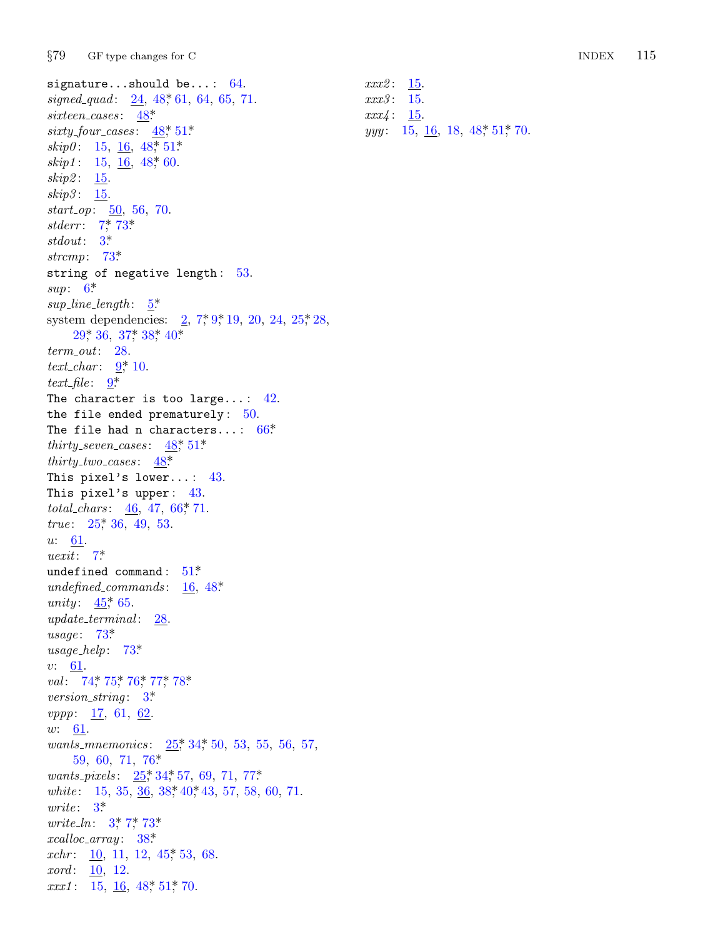*§*79 GF type c[hang](#page-7-0)[es fo](#page-8-0)r C INDEX 115

*xxx2* : 15. *xxx3* : 15. *xxx4* : 15.

*yyy*: 15, 16, 18, 48, 51, 70.

signature...should be...: 64. *signed quad* : 24, 48\*, 61, 64, 65, 71. *sixteen cases* : 48\*. *sixty fou[r](#page-2-0) c[ases](#page-10-0)* : 48\*, 51\*.  $skip0: 15, 16, 48, 51*$  $skip0: 15, 16, 48, 51*$  $skip0: 15, 16, 48, 51*$  $skip11: 15, 16, 48, 60.$  $skip11: 15, 16, 48, 60.$  $skip11: 15, 16, 48, 60.$ *skip2* : 15. *skip3* : 15. *start\_op*: 50[,](#page-2-0) 56, 70. *stderr*: 7\*, 73\*. *stdo[ut](#page-5-0)*: 3\*. *strcmp*: 73\*. string of [ne](#page-3-0)gative length: 53. *sup*: 6\*.  $sup$ *line length* :  $\frac{5}{2}$ system dependencies:  $2, 7, 9, 19, 20, 24, 25, 28,$  $29^*$ , 36, 37<sup>\*</sup>, 38<sup>\*</sup>, 40<sup>\*</sup>. *term out*: 28. *text char* : 9\*, 10.  $text_{\textit{file}:}$   $\frac{9}{4}$ The character is too large...:  $42$ . the file ended pre[mat](#page-9-0)urely:  $50$ . The f[ile](#page-5-0) had n characters...:  $66*$ *thirty\_seven\_cases* :  $48$ <sup>\*</sup>, 51<sup>\*</sup>. *thirty\_t[wo](#page-2-0)\_cases* :  $48^*$ This pixel's lower.[..](#page-8-0) : 43. This pixel's upper: 43[.](#page-7-0) *total\_ch[ars](#page-7-0)* : 46, 47, 66, 71. *true*: 25, 36, 49, 53. *u*: 61. *uexit*: 7\*. undefined command:  $51^*$ *unde[fined](#page-10-0) [comma](#page-10-0)[nds](#page-11-0)* : [1](#page-11-0)6, 48\*. *unity*:  $45 \times 65$ . *update terminal* : 28. *usage* : 73\*. *usage help*: 73\*. *v*: 61. *val* : 74\*, 75\*, [76\\*,](#page-5-0) [77\\*,](#page-5-0) 78\*. *version string* : 3\*. *vppp*: [17](#page-1-0), 61, 62. *w*: 61. *wants mnemoni[cs](#page-6-0)* : 25\*, 34\*, 50, 53, 55, 56, 57, 59, 60, 71, 76[\\*.](#page-7-0) *wants pixels* : 25\*, 34\*, 57, 69, 71, 77\*. *white*: 15, 35, [36](#page-7-0), 38, 40, 43, 57, 58, 60, 71. *write* : 3\*. *write\_ln*: 3, 7, 73\* *xcalloc array* : 38\*. *xchr*: <u>10</u>, 11, 12, 45, 53, 68. *xord* : 10, 12. *xxx1* : 15, <u>16</u>, 48, 51, 70.